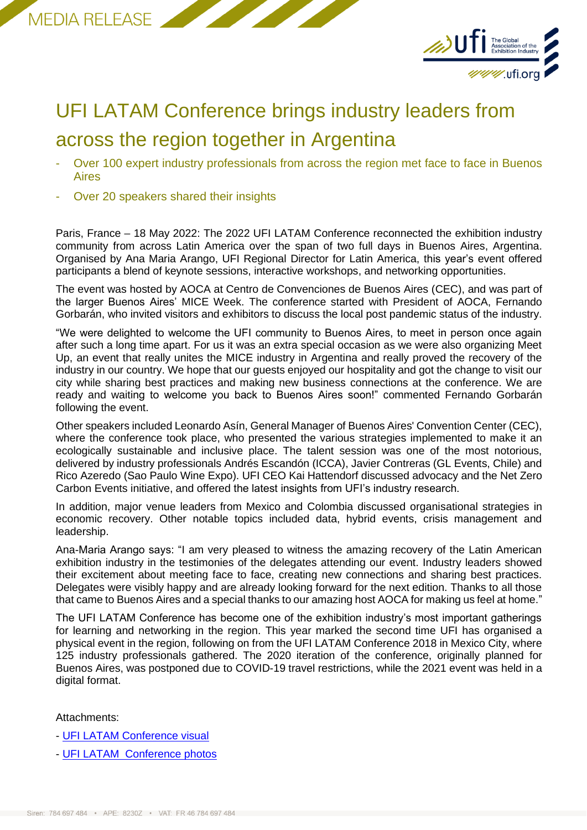



## UFI LATAM Conference brings industry leaders from across the region together in Argentina

- Over 100 expert industry professionals from across the region met face to face in Buenos Aires
- Over 20 speakers shared their insights

Paris, France – 18 May 2022: The 2022 UFI LATAM Conference reconnected the exhibition industry community from across Latin America over the span of two full days in Buenos Aires, Argentina. Organised by Ana Maria Arango, UFI Regional Director for Latin America, this year's event offered participants a blend of keynote sessions, interactive workshops, and networking opportunities.

The event was hosted by AOCA at Centro de Convenciones de Buenos Aires (CEC), and was part of the larger Buenos Aires' MICE Week. The conference started with President of AOCA, Fernando Gorbarán, who invited visitors and exhibitors to discuss the local post pandemic status of the industry.

"We were delighted to welcome the UFI community to Buenos Aires, to meet in person once again after such a long time apart. For us it was an extra special occasion as we were also organizing Meet Up, an event that really unites the MICE industry in Argentina and really proved the recovery of the industry in our country. We hope that our guests enjoyed our hospitality and got the change to visit our city while sharing best practices and making new business connections at the conference. We are ready and waiting to welcome you back to Buenos Aires soon!" commented Fernando Gorbarán following the event.

Other speakers included Leonardo Asín, General Manager of Buenos Aires' Convention Center (CEC), where the conference took place, who presented the various strategies implemented to make it an ecologically sustainable and inclusive place. The talent session was one of the most notorious, delivered by industry professionals Andrés Escandón (ICCA), Javier Contreras (GL Events, Chile) and Rico Azeredo (Sao Paulo Wine Expo). UFI CEO Kai Hattendorf discussed advocacy and the Net Zero Carbon Events initiative, and offered the latest insights from UFI's industry research.

In addition, major venue leaders from Mexico and Colombia discussed organisational strategies in economic recovery. Other notable topics included data, hybrid events, crisis management and leadership.

Ana-Maria Arango says: "I am very pleased to witness the amazing recovery of the Latin American exhibition industry in the testimonies of the delegates attending our event. Industry leaders showed their excitement about meeting face to face, creating new connections and sharing best practices. Delegates were visibly happy and are already looking forward for the next edition. Thanks to all those that came to Buenos Aires and a special thanks to our amazing host AOCA for making us feel at home."

The UFI LATAM Conference has become one of the exhibition industry's most important gatherings for learning and networking in the region. This year marked the second time UFI has organised a physical event in the region, following on from the UFI LATAM Conference 2018 in Mexico City, where 125 industry professionals gathered. The 2020 iteration of the conference, originally planned for Buenos Aires, was postponed due to COVID-19 travel restrictions, while the 2021 event was held in a digital format.

Attachments:

- [UFI LATAM Conference visual](https://www.ufi.org/wp-content/uploads/2022/02/Latam-Conference-Visual.jpg)
- [UFI LATAM Conference photos](https://www.ufi.org/ufievent/11760/)